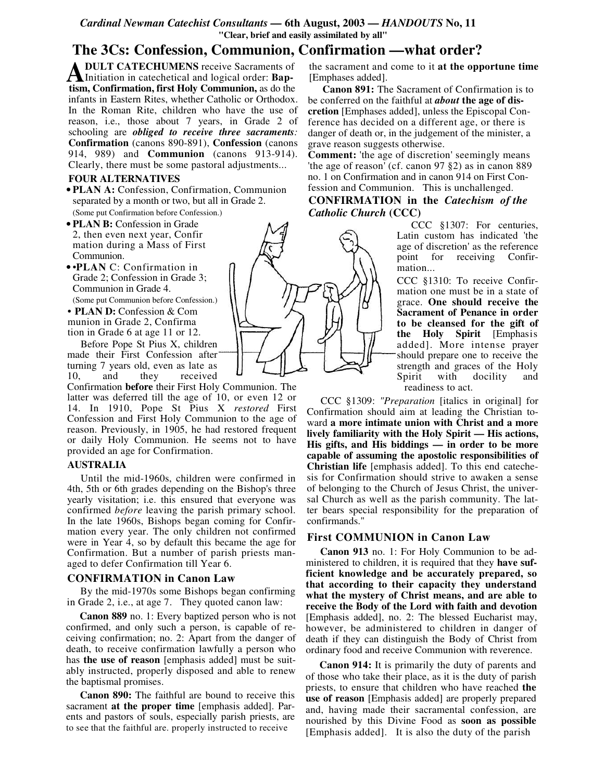## *Cardinal Newman Catechist Consultants —* **6th August, 2003 —** *HANDOUTS* **No, 11 "Clear, brief and easily assimilated by all"**

# **The 3Cs: Confession, Communion, Confirmation —what order?**

**DULT CATECHUMENS** receive Sacraments of Initiation in catechetical and logical order: **Bap-A** DULT CATECHUMENS receive Sacraments of Initiation in catechetical and logical order: Baptism, Confirmation, first Holy Communion, as do the infants in Eastern Rites, whether Catholic or Orthodox. In the Roman Rite, children who have the use of reason, i.e., those about 7 years, in Grade 2 of schooling are *obliged to receive three sacraments:* **Confirmation** (canons 890-891), **Confession** (canons 914, 989) and **Communion** (canons 913-914). Clearly, there must be some pastoral adjustments...

#### **FOUR ALTERNATIVES**

- **PLAN A:** Confession, Confirmation, Communion separated by a month or two, but all in Grade 2. (Some put Confirmation before Confession.)
- **PLAN B:** Confession in Grade 2, then even next year, Confir mation during a Mass of First Communion.
- •**PLAN** C: Confirmation in Grade 2; Confession in Grade 3; Communion in Grade 4. (Some put Communion before Confession.)
- **• PLAN D:** Confession & Com munion in Grade 2, Confirma tion in Grade 6 at age 11 or 12.

Before Pope St Pius X, children made their First Confession after turning 7 years old, even as late as 10, and they received

Confirmation **before** their First Holy Communion. The latter was deferred till the age of 10, or even 12 or 14. In 1910, Pope St Pius X *restored* First Confession and First Holy Communion to the age of reason. Previously, in 1905, he had restored frequent or daily Holy Communion. He seems not to have provided an age for Confirmation.

#### **AUSTRALIA**

Until the mid-1960s, children were confirmed in 4th, 5th or 6th grades depending on the Bishop's three yearly visitation; i.e. this ensured that everyone was confirmed *before* leaving the parish primary school. In the late 1960s, Bishops began coming for Confirmation every year. The only children not confirmed were in Year 4, so by default this became the age for Confirmation. But a number of parish priests managed to defer Confirmation till Year 6.

### **CONFIRMATION in Canon Law**

By the mid-1970s some Bishops began confirming in Grade 2, i.e., at age 7. They quoted canon law:

**Canon 889** no. 1: Every baptized person who is not confirmed, and only such a person, is capable of receiving confirmation; no. 2: Apart from the danger of death, to receive confirmation lawfully a person who has **the use of reason** [emphasis added] must be suitably instructed, properly disposed and able to renew the baptismal promises.

**Canon 890:** The faithful are bound to receive this sacrament **at the proper time** [emphasis added]. Parents and pastors of souls, especially parish priests, are to see that the faithful are. properly instructed to receive

the sacrament and come to it **at the opportune time** [Emphases added].

**Canon 891:** The Sacrament of Confirmation is to be conferred on the faithful at *about* **the age of discretion** [Emphases added], unless the Episcopal Conference has decided on a different age, or there is danger of death or, in the judgement of the minister, a grave reason suggests otherwise.

**Comment:** 'the age of discretion' seemingly means 'the age of reason' (cf. canon 97 §2) as in canon 889 no. 1 on Confirmation and in canon 914 on First Confession and Communion. This is unchallenged.

## **CONFIRMATION in the** *Catechism of the Catholic Church* **(CCC)**

CCC §1307: For centuries, Latin custom has indicated 'the age of discretion' as the reference point for receiving Confirmation...

CCC §1310: To receive Confirmation one must be in a state of grace. **One should receive the Sacrament of Penance in order to be cleansed for the gift of the Holy Spirit** [Emphasis added]. More intense prayer should prepare one to receive the strength and graces of the Holy Spirit with docility and readiness to act.

CCC §1309: *"Preparation* [italics in original] for Confirmation should aim at leading the Christian toward **a more intimate union with Christ and a more lively familiarity with the Holy Spirit — His actions, His gifts, and His biddings — in order to be more capable of assuming the apostolic responsibilities of Christian life** [emphasis added]. To this end catechesis for Confirmation should strive to awaken a sense of belonging to the Church of Jesus Christ, the universal Church as well as the parish community. The latter bears special responsibility for the preparation of confirmands."

#### **First COMMUNION in Canon Law**

**Canon 913** no. 1: For Holy Communion to be administered to children, it is required that they **have sufficient knowledge and be accurately prepared, so that according to their capacity they understand what the mystery of Christ means, and are able to receive the Body of the Lord with faith and devotion** [Emphasis added], no. 2: The blessed Eucharist may, however, be administered to children in danger of death if they can distinguish the Body of Christ from ordinary food and receive Communion with reverence.

**Canon 914:** It is primarily the duty of parents and of those who take their place, as it is the duty of parish priests, to ensure that children who have reached **the use of reason** [Emphasis added] are properly prepared and, having made their sacramental confession, are nourished by this Divine Food as **soon as possible** [Emphasis added]. It is also the duty of the parish